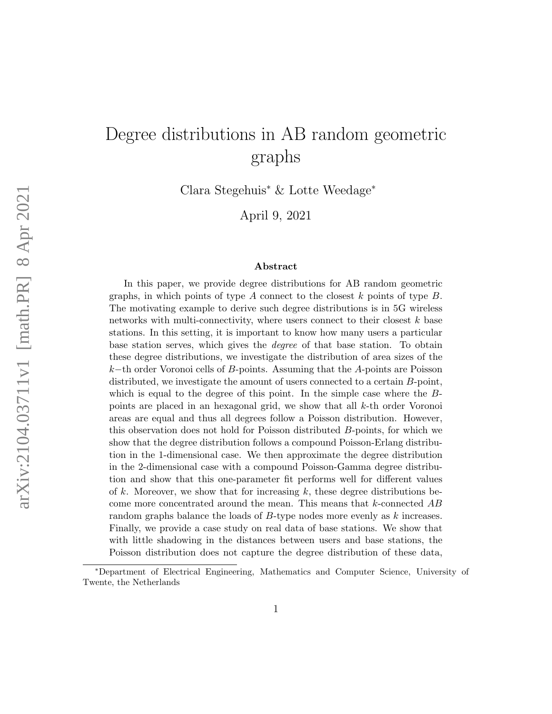# Degree distributions in AB random geometric graphs

Clara Stegehuis<sup>∗</sup> & Lotte Weedage<sup>∗</sup>

April 9, 2021

#### Abstract

In this paper, we provide degree distributions for AB random geometric graphs, in which points of type  $A$  connect to the closest  $k$  points of type  $B$ . The motivating example to derive such degree distributions is in 5G wireless networks with multi-connectivity, where users connect to their closest k base stations. In this setting, it is important to know how many users a particular base station serves, which gives the degree of that base station. To obtain these degree distributions, we investigate the distribution of area sizes of the k−th order Voronoi cells of B-points. Assuming that the A-points are Poisson distributed, we investigate the amount of users connected to a certain B-point, which is equal to the degree of this point. In the simple case where the Bpoints are placed in an hexagonal grid, we show that all k-th order Voronoi areas are equal and thus all degrees follow a Poisson distribution. However, this observation does not hold for Poisson distributed B-points, for which we show that the degree distribution follows a compound Poisson-Erlang distribution in the 1-dimensional case. We then approximate the degree distribution in the 2-dimensional case with a compound Poisson-Gamma degree distribution and show that this one-parameter fit performs well for different values of k. Moreover, we show that for increasing k, these degree distributions become more concentrated around the mean. This means that  $k$ -connected  $AB$ random graphs balance the loads of B-type nodes more evenly as k increases. Finally, we provide a case study on real data of base stations. We show that with little shadowing in the distances between users and base stations, the Poisson distribution does not capture the degree distribution of these data,

<sup>∗</sup>Department of Electrical Engineering, Mathematics and Computer Science, University of Twente, the Netherlands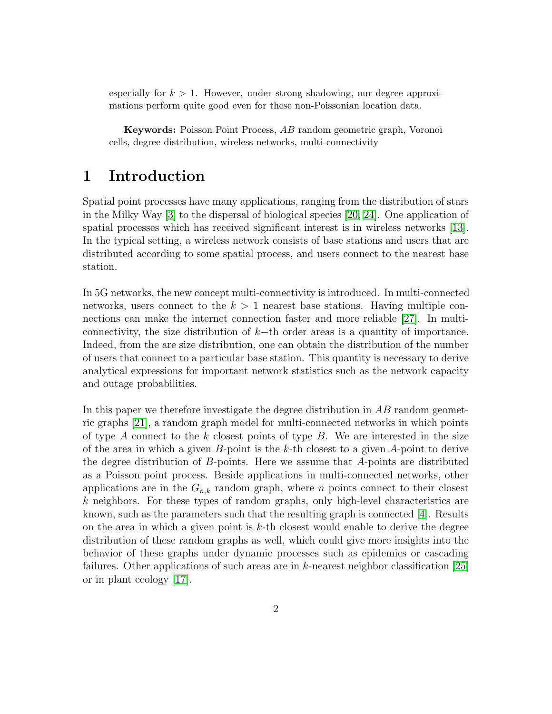especially for  $k > 1$ . However, under strong shadowing, our degree approximations perform quite good even for these non-Poissonian location data.

Keywords: Poisson Point Process, AB random geometric graph, Voronoi cells, degree distribution, wireless networks, multi-connectivity

# 1 Introduction

Spatial point processes have many applications, ranging from the distribution of stars in the Milky Way [\[3\]](#page-19-0) to the dispersal of biological species [\[20,](#page-21-0) [24\]](#page-21-1). One application of spatial processes which has received significant interest is in wireless networks [\[13\]](#page-20-0). In the typical setting, a wireless network consists of base stations and users that are distributed according to some spatial process, and users connect to the nearest base station.

In 5G networks, the new concept multi-connectivity is introduced. In multi-connected networks, users connect to the  $k > 1$  nearest base stations. Having multiple connections can make the internet connection faster and more reliable [\[27\]](#page-22-0). In multiconnectivity, the size distribution of  $k$ −th order areas is a quantity of importance. Indeed, from the are size distribution, one can obtain the distribution of the number of users that connect to a particular base station. This quantity is necessary to derive analytical expressions for important network statistics such as the network capacity and outage probabilities.

In this paper we therefore investigate the degree distribution in  $AB$  random geometric graphs [\[21\]](#page-21-2), a random graph model for multi-connected networks in which points of type A connect to the k closest points of type  $B$ . We are interested in the size of the area in which a given  $B$ -point is the k-th closest to a given A-point to derive the degree distribution of B-points. Here we assume that A-points are distributed as a Poisson point process. Beside applications in multi-connected networks, other applications are in the  $G_{n,k}$  random graph, where n points connect to their closest  $k$  neighbors. For these types of random graphs, only high-level characteristics are known, such as the parameters such that the resulting graph is connected [\[4\]](#page-20-1). Results on the area in which a given point is  $k$ -th closest would enable to derive the degree distribution of these random graphs as well, which could give more insights into the behavior of these graphs under dynamic processes such as epidemics or cascading failures. Other applications of such areas are in k-nearest neighbor classification [\[25\]](#page-21-3) or in plant ecology [\[17\]](#page-21-4).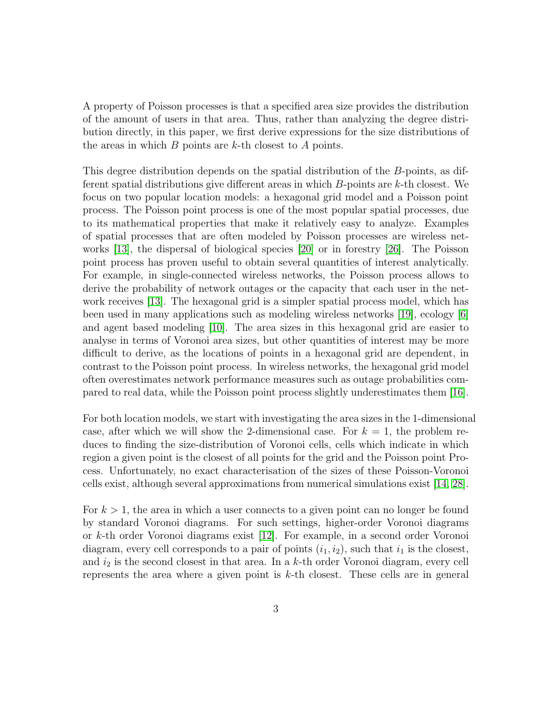A property of Poisson processes is that a specified area size provides the distribution of the amount of users in that area. Thus, rather than analyzing the degree distribution directly, in this paper, we first derive expressions for the size distributions of the areas in which  $B$  points are  $k$ -th closest to  $A$  points.

This degree distribution depends on the spatial distribution of the B-points, as different spatial distributions give different areas in which  $B$ -points are  $k$ -th closest. We focus on two popular location models: a hexagonal grid model and a Poisson point process. The Poisson point process is one of the most popular spatial processes, due to its mathematical properties that make it relatively easy to analyze. Examples of spatial processes that are often modeled by Poisson processes are wireless networks [\[13\]](#page-20-0), the dispersal of biological species [\[20\]](#page-21-0) or in forestry [\[26\]](#page-21-5). The Poisson point process has proven useful to obtain several quantities of interest analytically. For example, in single-connected wireless networks, the Poisson process allows to derive the probability of network outages or the capacity that each user in the network receives [\[13\]](#page-20-0). The hexagonal grid is a simpler spatial process model, which has been used in many applications such as modeling wireless networks [\[19\]](#page-21-6), ecology [\[6\]](#page-20-2) and agent based modeling [\[10\]](#page-20-3). The area sizes in this hexagonal grid are easier to analyse in terms of Voronoi area sizes, but other quantities of interest may be more difficult to derive, as the locations of points in a hexagonal grid are dependent, in contrast to the Poisson point process. In wireless networks, the hexagonal grid model often overestimates network performance measures such as outage probabilities compared to real data, while the Poisson point process slightly underestimates them [\[16\]](#page-21-7).

For both location models, we start with investigating the area sizes in the 1-dimensional case, after which we will show the 2-dimensional case. For  $k = 1$ , the problem reduces to finding the size-distribution of Voronoi cells, cells which indicate in which region a given point is the closest of all points for the grid and the Poisson point Process. Unfortunately, no exact characterisation of the sizes of these Poisson-Voronoi cells exist, although several approximations from numerical simulations exist [\[14,](#page-20-4) [28\]](#page-22-1).

For  $k > 1$ , the area in which a user connects to a given point can no longer be found by standard Voronoi diagrams. For such settings, higher-order Voronoi diagrams or k-th order Voronoi diagrams exist [\[12\]](#page-20-5). For example, in a second order Voronoi diagram, every cell corresponds to a pair of points  $(i_1, i_2)$ , such that  $i_1$  is the closest, and  $i_2$  is the second closest in that area. In a k-th order Voronoi diagram, every cell represents the area where a given point is  $k$ -th closest. These cells are in general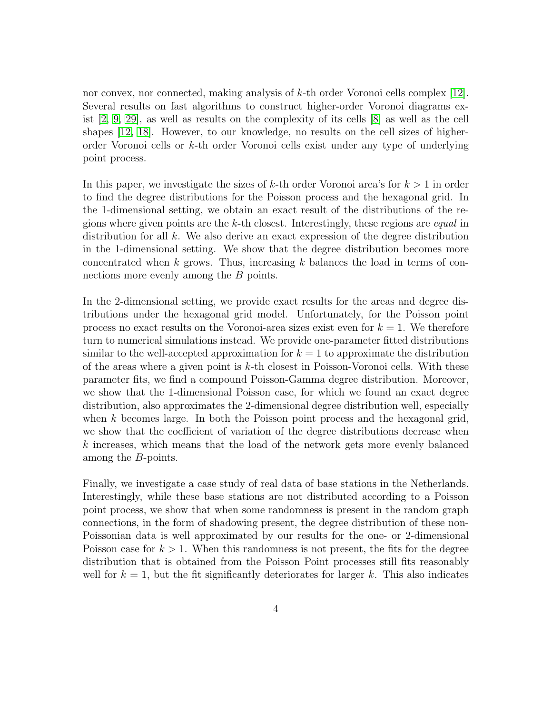nor convex, nor connected, making analysis of k-th order Voronoi cells complex [\[12\]](#page-20-5). Several results on fast algorithms to construct higher-order Voronoi diagrams exist [\[2,](#page-19-1) [9,](#page-20-6) [29\]](#page-22-2), as well as results on the complexity of its cells [\[8\]](#page-20-7) as well as the cell shapes [\[12,](#page-20-5) [18\]](#page-21-8). However, to our knowledge, no results on the cell sizes of higherorder Voronoi cells or k-th order Voronoi cells exist under any type of underlying point process.

In this paper, we investigate the sizes of k-th order Voronoi area's for  $k > 1$  in order to find the degree distributions for the Poisson process and the hexagonal grid. In the 1-dimensional setting, we obtain an exact result of the distributions of the regions where given points are the k-th closest. Interestingly, these regions are equal in distribution for all  $k$ . We also derive an exact expression of the degree distribution in the 1-dimensional setting. We show that the degree distribution becomes more concentrated when  $k$  grows. Thus, increasing  $k$  balances the load in terms of connections more evenly among the B points.

In the 2-dimensional setting, we provide exact results for the areas and degree distributions under the hexagonal grid model. Unfortunately, for the Poisson point process no exact results on the Voronoi-area sizes exist even for  $k = 1$ . We therefore turn to numerical simulations instead. We provide one-parameter fitted distributions similar to the well-accepted approximation for  $k = 1$  to approximate the distribution of the areas where a given point is  $k$ -th closest in Poisson-Voronoi cells. With these parameter fits, we find a compound Poisson-Gamma degree distribution. Moreover, we show that the 1-dimensional Poisson case, for which we found an exact degree distribution, also approximates the 2-dimensional degree distribution well, especially when k becomes large. In both the Poisson point process and the hexagonal grid, we show that the coefficient of variation of the degree distributions decrease when k increases, which means that the load of the network gets more evenly balanced among the B-points.

Finally, we investigate a case study of real data of base stations in the Netherlands. Interestingly, while these base stations are not distributed according to a Poisson point process, we show that when some randomness is present in the random graph connections, in the form of shadowing present, the degree distribution of these non-Poissonian data is well approximated by our results for the one- or 2-dimensional Poisson case for  $k > 1$ . When this randomness is not present, the fits for the degree distribution that is obtained from the Poisson Point processes still fits reasonably well for  $k = 1$ , but the fit significantly deteriorates for larger k. This also indicates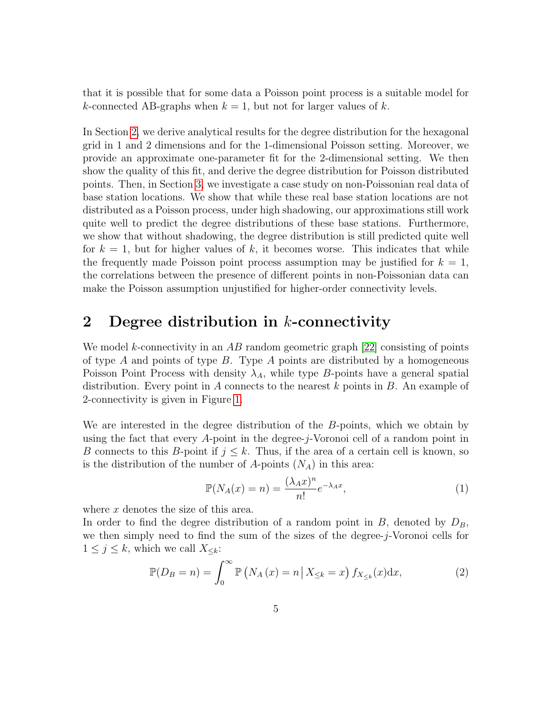that it is possible that for some data a Poisson point process is a suitable model for k-connected AB-graphs when  $k = 1$ , but not for larger values of k.

In Section [2,](#page-4-0) we derive analytical results for the degree distribution for the hexagonal grid in 1 and 2 dimensions and for the 1-dimensional Poisson setting. Moreover, we provide an approximate one-parameter fit for the 2-dimensional setting. We then show the quality of this fit, and derive the degree distribution for Poisson distributed points. Then, in Section [3,](#page-13-0) we investigate a case study on non-Poissonian real data of base station locations. We show that while these real base station locations are not distributed as a Poisson process, under high shadowing, our approximations still work quite well to predict the degree distributions of these base stations. Furthermore, we show that without shadowing, the degree distribution is still predicted quite well for  $k = 1$ , but for higher values of k, it becomes worse. This indicates that while the frequently made Poisson point process assumption may be justified for  $k = 1$ , the correlations between the presence of different points in non-Poissonian data can make the Poisson assumption unjustified for higher-order connectivity levels.

# <span id="page-4-0"></span>2 Degree distribution in  $k$ -connectivity

We model k-connectivity in an AB random geometric graph  $[22]$  consisting of points of type  $A$  and points of type  $B$ . Type  $A$  points are distributed by a homogeneous Poisson Point Process with density  $\lambda_A$ , while type B-points have a general spatial distribution. Every point in A connects to the nearest  $k$  points in  $B$ . An example of 2-connectivity is given in Figure [1.](#page-5-0)

We are interested in the degree distribution of the B-points, which we obtain by using the fact that every A-point in the degree-j-Voronoi cell of a random point in B connects to this B-point if  $j \leq k$ . Thus, if the area of a certain cell is known, so is the distribution of the number of A-points  $(N_A)$  in this area:

<span id="page-4-2"></span><span id="page-4-1"></span>
$$
\mathbb{P}(N_A(x) = n) = \frac{(\lambda_A x)^n}{n!} e^{-\lambda_A x},\tag{1}
$$

where x denotes the size of this area.

In order to find the degree distribution of a random point in  $B$ , denoted by  $D_B$ , we then simply need to find the sum of the sizes of the degree-j-Voronoi cells for  $1 \leq j \leq k$ , which we call  $X_{\leq k}$ :

$$
\mathbb{P}(D_B = n) = \int_0^\infty \mathbb{P}\left(N_A\left(x\right) = n \,\middle|\, X_{\leq k} = x\right) f_{X_{\leq k}}(x) \mathrm{d}x,\tag{2}
$$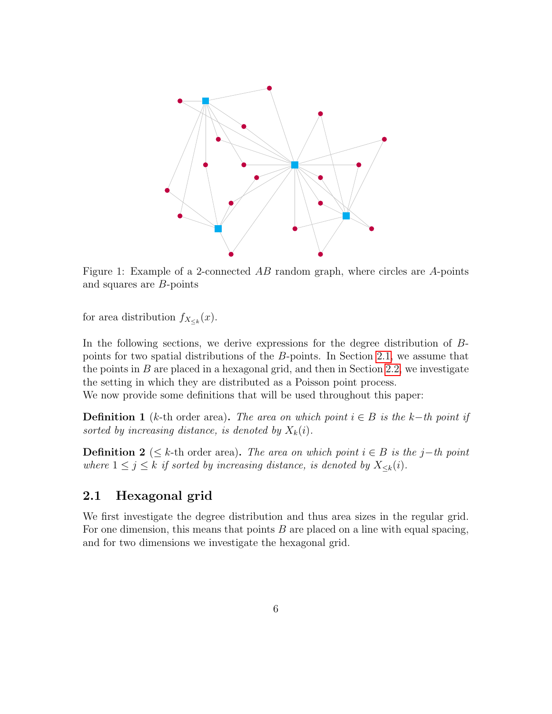<span id="page-5-0"></span>

Figure 1: Example of a 2-connected AB random graph, where circles are A-points and squares are B-points

for area distribution  $f_{X_{\leq k}}(x)$ .

In the following sections, we derive expressions for the degree distribution of Bpoints for two spatial distributions of the B-points. In Section [2.1,](#page-5-1) we assume that the points in  $B$  are placed in a hexagonal grid, and then in Section [2.2,](#page-8-0) we investigate the setting in which they are distributed as a Poisson point process.

We now provide some definitions that will be used throughout this paper:

<span id="page-5-2"></span>**Definition 1** (k-th order area). The area on which point  $i \in B$  is the k-th point if sorted by increasing distance, is denoted by  $X_k(i)$ .

**Definition 2** ( $\leq$  k-th order area). The area on which point  $i \in B$  is the j−th point where  $1 \leq j \leq k$  if sorted by increasing distance, is denoted by  $X_{\leq k}(i)$ .

### <span id="page-5-1"></span>2.1 Hexagonal grid

We first investigate the degree distribution and thus area sizes in the regular grid. For one dimension, this means that points  $B$  are placed on a line with equal spacing, and for two dimensions we investigate the hexagonal grid.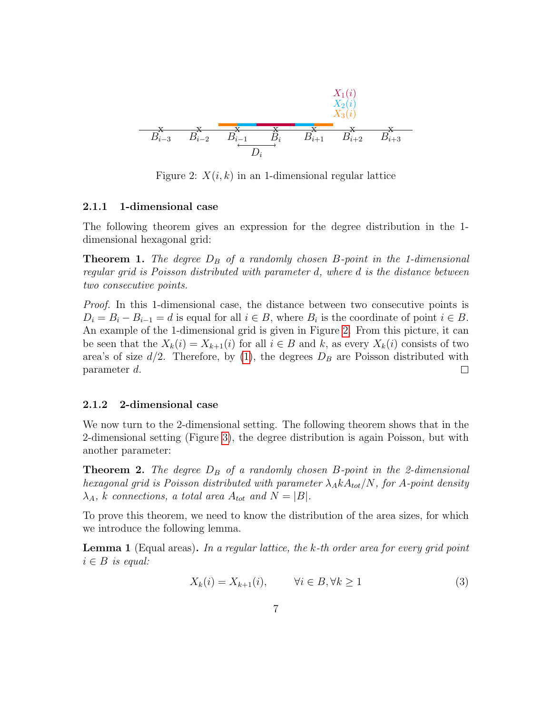<span id="page-6-0"></span>x x x x x x x Bi−<sup>3</sup> Bi−<sup>2</sup> Bi−<sup>1</sup> B<sup>i</sup> Bi+1 Bi+2 Bi+3 Di X1(i) X2(i) X3(i)

Figure 2:  $X(i, k)$  in an 1-dimensional regular lattice

#### 2.1.1 1-dimensional case

The following theorem gives an expression for the degree distribution in the 1 dimensional hexagonal grid:

**Theorem 1.** The degree  $D_B$  of a randomly chosen B-point in the 1-dimensional regular grid is Poisson distributed with parameter d, where d is the distance between two consecutive points.

Proof. In this 1-dimensional case, the distance between two consecutive points is  $D_i = B_i - B_{i-1} = d$  is equal for all  $i \in B$ , where  $B_i$  is the coordinate of point  $i \in B$ . An example of the 1-dimensional grid is given in Figure [2.](#page-6-0) From this picture, it can be seen that the  $X_k(i) = X_{k+1}(i)$  for all  $i \in B$  and k, as every  $X_k(i)$  consists of two area's of size  $d/2$ . Therefore, by [\(1\)](#page-4-1), the degrees  $D_B$  are Poisson distributed with parameter d.  $\Box$ 

#### 2.1.2 2-dimensional case

We now turn to the 2-dimensional setting. The following theorem shows that in the 2-dimensional setting (Figure [3\)](#page-7-0), the degree distribution is again Poisson, but with another parameter:

<span id="page-6-1"></span>**Theorem 2.** The degree  $D_B$  of a randomly chosen B-point in the 2-dimensional hexagonal grid is Poisson distributed with parameter  $\lambda_A k A_{tot}/N$ , for A-point density  $\lambda_A$ , k connections, a total area  $A_{tot}$  and  $N = |B|$ .

To prove this theorem, we need to know the distribution of the area sizes, for which we introduce the following lemma.

<span id="page-6-2"></span>**Lemma 1** (Equal areas). In a regular lattice, the k-th order area for every grid point  $i \in B$  is equal:

$$
X_k(i) = X_{k+1}(i), \qquad \forall i \in B, \forall k \ge 1 \tag{3}
$$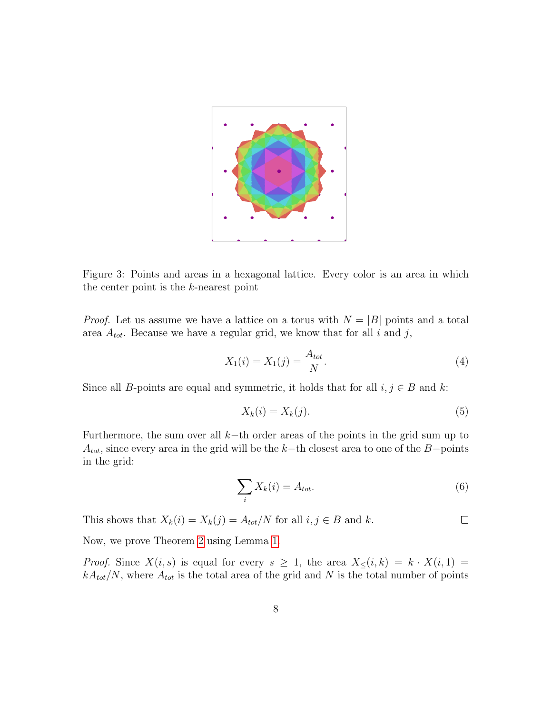<span id="page-7-0"></span>

Figure 3: Points and areas in a hexagonal lattice. Every color is an area in which the center point is the k-nearest point

*Proof.* Let us assume we have a lattice on a torus with  $N = |B|$  points and a total area  $A_{tot}$ . Because we have a regular grid, we know that for all i and j,

$$
X_1(i) = X_1(j) = \frac{A_{tot}}{N}.
$$
\n(4)

Since all B-points are equal and symmetric, it holds that for all  $i, j \in B$  and k:

$$
X_k(i) = X_k(j). \tag{5}
$$

Furthermore, the sum over all  $k$ −th order areas of the points in the grid sum up to  $A_{tot}$ , since every area in the grid will be the k−th closest area to one of the B−points in the grid:

$$
\sum_{i} X_k(i) = A_{tot}.\tag{6}
$$

 $\Box$ 

This shows that  $X_k(i) = X_k(j) = A_{tot}/N$  for all  $i, j \in B$  and k.

Now, we prove Theorem [2](#page-6-1) using Lemma [1.](#page-6-2)

*Proof.* Since  $X(i, s)$  is equal for every  $s \geq 1$ , the area  $X<sub>0</sub>(i, k) = k \cdot X(i, 1) = k$  $kA_{tot}/N$ , where  $A_{tot}$  is the total area of the grid and N is the total number of points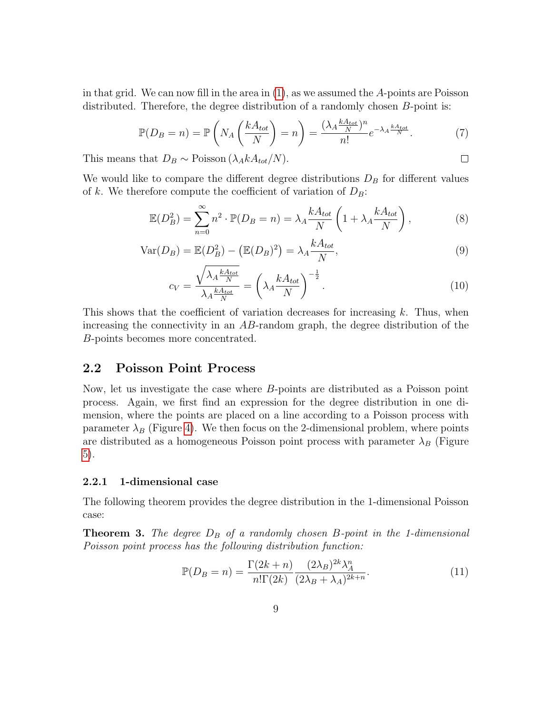in that grid. We can now fill in the area in  $(1)$ , as we assumed the A-points are Poisson distributed. Therefore, the degree distribution of a randomly chosen B-point is:

$$
\mathbb{P}(D_B = n) = \mathbb{P}\left(N_A \left(\frac{kA_{tot}}{N}\right) = n\right) = \frac{(\lambda_A \frac{kA_{tot}}{N})^n}{n!} e^{-\lambda_A \frac{kA_{tot}}{N}}.\tag{7}
$$

<span id="page-8-3"></span><span id="page-8-2"></span> $\Box$ 

This means that  $D_B \sim \text{Poisson}(\lambda_A k A_{tot}/N)$ .

We would like to compare the different degree distributions  $D<sub>B</sub>$  for different values of k. We therefore compute the coefficient of variation of  $D_B$ :

$$
\mathbb{E}(D_B^2) = \sum_{n=0}^{\infty} n^2 \cdot \mathbb{P}(D_B = n) = \lambda_A \frac{k A_{tot}}{N} \left(1 + \lambda_A \frac{k A_{tot}}{N}\right),\tag{8}
$$

$$
Var(D_B) = \mathbb{E}(D_B^2) - (\mathbb{E}(D_B)^2) = \lambda_A \frac{kA_{tot}}{N},
$$
\n(9)

$$
c_V = \frac{\sqrt{\lambda_A \frac{kA_{tot}}{N}}}{\lambda_A \frac{kA_{tot}}{N}} = \left(\lambda_A \frac{kA_{tot}}{N}\right)^{-\frac{1}{2}}.\tag{10}
$$

This shows that the coefficient of variation decreases for increasing k. Thus, when increasing the connectivity in an  $AB$ -random graph, the degree distribution of the B-points becomes more concentrated.

### <span id="page-8-0"></span>2.2 Poisson Point Process

Now, let us investigate the case where B-points are distributed as a Poisson point process. Again, we first find an expression for the degree distribution in one dimension, where the points are placed on a line according to a Poisson process with parameter  $\lambda_B$  (Figure [4\)](#page-9-0). We then focus on the 2-dimensional problem, where points are distributed as a homogeneous Poisson point process with parameter  $\lambda_B$  (Figure [5\)](#page-11-0).

#### 2.2.1 1-dimensional case

The following theorem provides the degree distribution in the 1-dimensional Poisson case:

<span id="page-8-1"></span>**Theorem 3.** The degree  $D_B$  of a randomly chosen B-point in the 1-dimensional Poisson point process has the following distribution function:

$$
\mathbb{P}(D_B = n) = \frac{\Gamma(2k+n)}{n!\Gamma(2k)} \frac{(2\lambda_B)^{2k}\lambda_A^n}{(2\lambda_B + \lambda_A)^{2k+n}}.
$$
\n(11)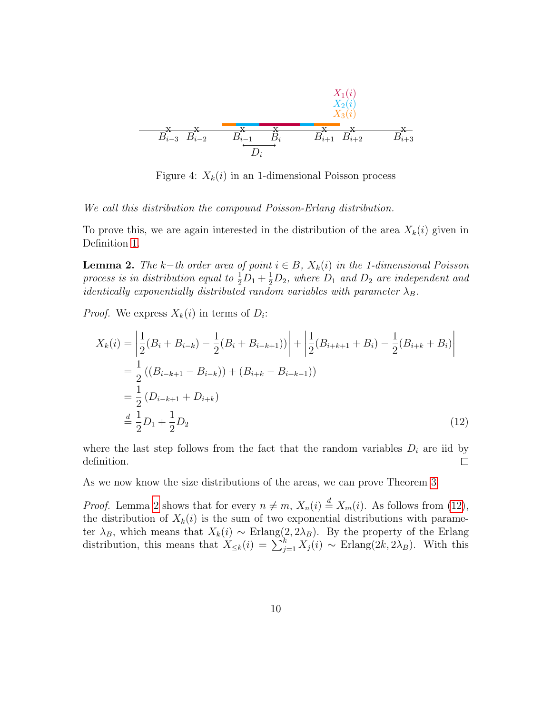<span id="page-9-0"></span>

Figure 4:  $X_k(i)$  in an 1-dimensional Poisson process

We call this distribution the compound Poisson-Erlang distribution.

To prove this, we are again interested in the distribution of the area  $X_k(i)$  given in Definition [1.](#page-5-2)

<span id="page-9-1"></span>**Lemma 2.** The k–th order area of point  $i \in B$ ,  $X_k(i)$  in the 1-dimensional Poisson process is in distribution equal to  $\frac{1}{2}D_1 + \frac{1}{2}D_2$ , where  $D_1$  and  $D_2$  are independent and *identically exponentially distributed random variables with parameter*  $\lambda_B$ .

*Proof.* We express  $X_k(i)$  in terms of  $D_i$ :

<span id="page-9-2"></span>
$$
X_k(i) = \left| \frac{1}{2} (B_i + B_{i-k}) - \frac{1}{2} (B_i + B_{i-k+1}) \right| + \left| \frac{1}{2} (B_{i+k+1} + B_i) - \frac{1}{2} (B_{i+k} + B_i) \right|
$$
  
\n
$$
= \frac{1}{2} ((B_{i-k+1} - B_{i-k})) + (B_{i+k} - B_{i+k-1}))
$$
  
\n
$$
= \frac{1}{2} (D_{i-k+1} + D_{i+k})
$$
  
\n
$$
\stackrel{d}{=} \frac{1}{2} D_1 + \frac{1}{2} D_2
$$
\n(12)

where the last step follows from the fact that the random variables  $D_i$  are iid by definition.  $\Box$ 

As we now know the size distributions of the areas, we can prove Theorem [3.](#page-8-1)

*Proof.* Lemma [2](#page-9-1) shows that for every  $n \neq m$ ,  $X_n(i) \stackrel{d}{=} X_m(i)$ . As follows from [\(12\)](#page-9-2), the distribution of  $X_k(i)$  is the sum of two exponential distributions with parameter  $\lambda_B$ , which means that  $X_k(i) \sim$  Erlang $(2, 2\lambda_B)$ . By the property of the Erlang distribution, this means that  $X_{\leq k}(i) = \sum_{j=1}^{k} X_j(i) \sim \text{Erlang}(2k, 2\lambda_B)$ . With this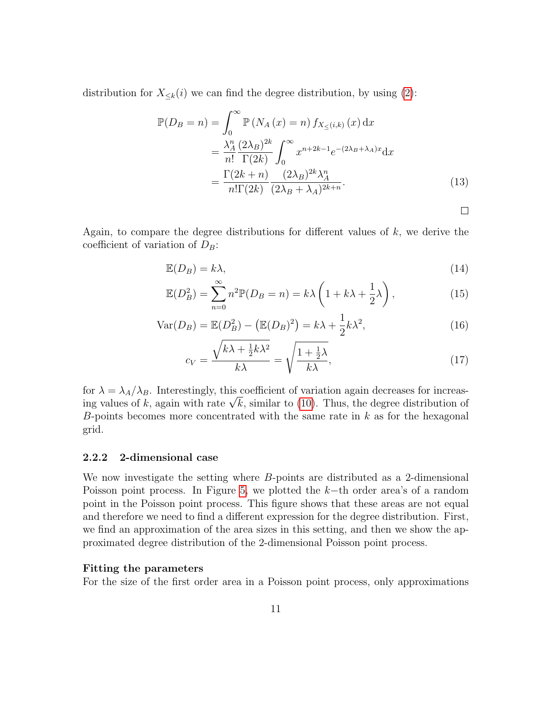distribution for  $X_{\leq k}(i)$  we can find the degree distribution, by using [\(2\)](#page-4-2):

$$
\mathbb{P}(D_B = n) = \int_0^\infty \mathbb{P}\left(N_A(x) = n\right) f_{X_{\leq}(i,k)}(x) dx
$$

$$
= \frac{\lambda_A^n}{n!} \frac{(2\lambda_B)^{2k}}{\Gamma(2k)} \int_0^\infty x^{n+2k-1} e^{-(2\lambda_B + \lambda_A)x} dx
$$

$$
= \frac{\Gamma(2k+n)}{n! \Gamma(2k)} \frac{(2\lambda_B)^{2k} \lambda_A^n}{(2\lambda_B + \lambda_A)^{2k+n}}.
$$
(13)

<span id="page-10-1"></span><span id="page-10-0"></span> $\Box$ 

Again, to compare the degree distributions for different values of  $k$ , we derive the coefficient of variation of  $D_B$ :

$$
\mathbb{E}(D_B) = k\lambda,\tag{14}
$$

$$
\mathbb{E}(D_B^2) = \sum_{n=0}^{\infty} n^2 \mathbb{P}(D_B = n) = k\lambda \left(1 + k\lambda + \frac{1}{2}\lambda\right),\tag{15}
$$

$$
\text{Var}(D_B) = \mathbb{E}(D_B^2) - \left(\mathbb{E}(D_B)^2\right) = k\lambda + \frac{1}{2}k\lambda^2,\tag{16}
$$

$$
c_V = \frac{\sqrt{k\lambda + \frac{1}{2}k\lambda^2}}{k\lambda} = \sqrt{\frac{1 + \frac{1}{2}\lambda}{k\lambda}},\tag{17}
$$

for  $\lambda = \lambda_A/\lambda_B$ . Interestingly, this coefficient of variation again decreases for increasfor  $\lambda = \lambda_A/\lambda_B$ . Interestingly, this coefficient of variation again decreases for increasting values of k, again with rate  $\sqrt{k}$ , similar to [\(10\)](#page-8-2). Thus, the degree distribution of B-points becomes more concentrated with the same rate in  $k$  as for the hexagonal grid.

#### 2.2.2 2-dimensional case

We now investigate the setting where B-points are distributed as a 2-dimensional Poisson point process. In Figure [5,](#page-11-0) we plotted the k−th order area's of a random point in the Poisson point process. This figure shows that these areas are not equal and therefore we need to find a different expression for the degree distribution. First, we find an approximation of the area sizes in this setting, and then we show the approximated degree distribution of the 2-dimensional Poisson point process.

#### Fitting the parameters

For the size of the first order area in a Poisson point process, only approximations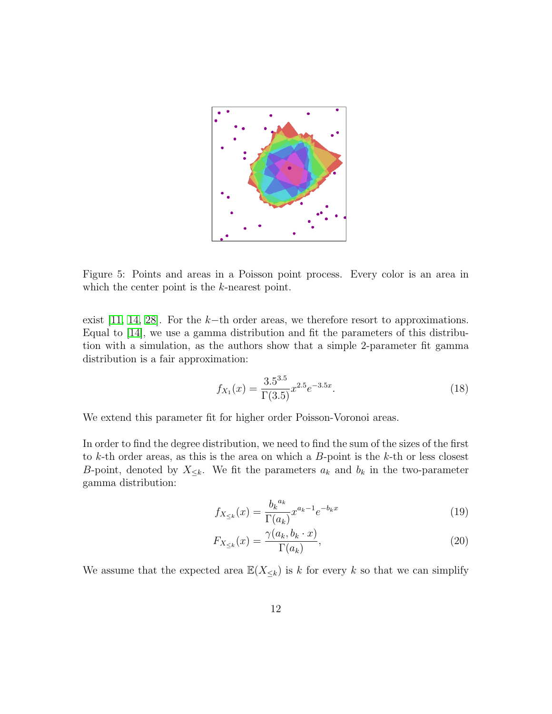<span id="page-11-0"></span>

Figure 5: Points and areas in a Poisson point process. Every color is an area in which the center point is the k-nearest point.

exist [\[11,](#page-20-8) [14,](#page-20-4) [28\]](#page-22-1). For the  $k$ −th order areas, we therefore resort to approximations. Equal to [\[14\]](#page-20-4), we use a gamma distribution and fit the parameters of this distribution with a simulation, as the authors show that a simple 2-parameter fit gamma distribution is a fair approximation:

$$
f_{X_1}(x) = \frac{3.5^{3.5}}{\Gamma(3.5)} x^{2.5} e^{-3.5x}.
$$
 (18)

We extend this parameter fit for higher order Poisson-Voronoi areas.

In order to find the degree distribution, we need to find the sum of the sizes of the first to  $k$ -th order areas, as this is the area on which a  $B$ -point is the  $k$ -th or less closest B-point, denoted by  $X_{\leq k}$ . We fit the parameters  $a_k$  and  $b_k$  in the two-parameter gamma distribution:

$$
f_{X_{\leq k}}(x) = \frac{b_k^{a_k}}{\Gamma(a_k)} x^{a_k - 1} e^{-b_k x}
$$
\n(19)

<span id="page-11-1"></span>
$$
F_{X_{\leq k}}(x) = \frac{\gamma(a_k, b_k \cdot x)}{\Gamma(a_k)},\tag{20}
$$

We assume that the expected area  $\mathbb{E}(X_{\leq k})$  is k for every k so that we can simplify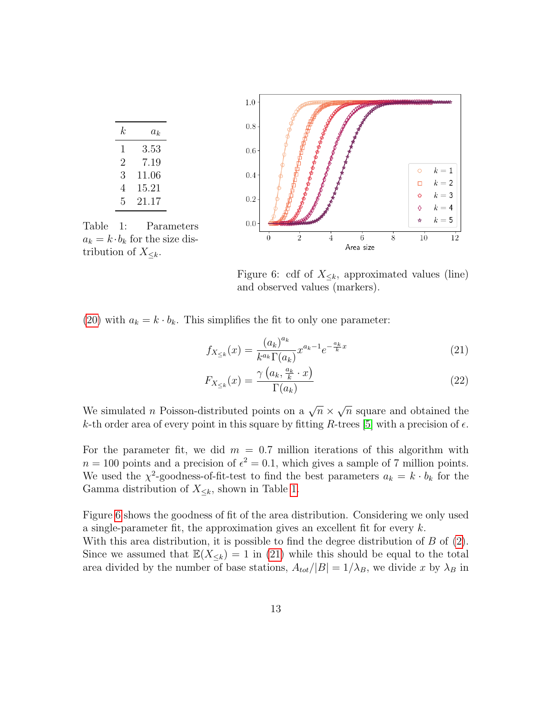<span id="page-12-0"></span>

<span id="page-12-1"></span>Figure 6: cdf of  $X_{\leq k}$ , approximated values (line) and observed values (markers).

[\(20\)](#page-11-1) with  $a_k = k \cdot b_k$ . This simplifies the fit to only one parameter:

$$
f_{X_{\leq k}}(x) = \frac{(a_k)^{a_k}}{k^{a_k} \Gamma(a_k)} x^{a_k - 1} e^{-\frac{a_k}{k}x}
$$
 (21)

$$
F_{X_{\leq k}}(x) = \frac{\gamma\left(a_k, \frac{a_k}{k} \cdot x\right)}{\Gamma(a_k)}
$$
\n<sup>(22)</sup>

We simulated *n* Poisson-distributed points on a  $\sqrt{n} \times$ √  $\overline{n}$  square and obtained the k-th order area of every point in this square by fitting R-trees [\[5\]](#page-20-9) with a precision of  $\epsilon$ .

For the parameter fit, we did  $m = 0.7$  million iterations of this algorithm with  $n = 100$  points and a precision of  $\epsilon^2 = 0.1$ , which gives a sample of 7 million points. We used the  $\chi^2$ -goodness-of-fit-test to find the best parameters  $a_k = k \cdot b_k$  for the Gamma distribution of  $X_{\leq k}$ , shown in Table [1.](#page-12-0)

Figure [6](#page-12-0) shows the goodness of fit of the area distribution. Considering we only used a single-parameter fit, the approximation gives an excellent fit for every k. With this area distribution, it is possible to find the degree distribution of  $B$  of  $(2)$ . Since we assumed that  $\mathbb{E}(X_{\le k}) = 1$  in [\(21\)](#page-12-1) while this should be equal to the total

area divided by the number of base stations,  $A_{tot}/|B| = 1/\lambda_B$ , we divide x by  $\lambda_B$  in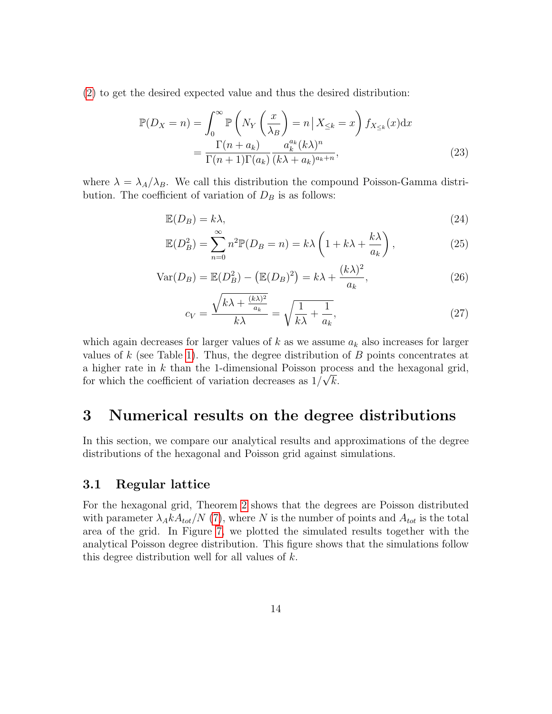[\(2\)](#page-4-2) to get the desired expected value and thus the desired distribution:

$$
\mathbb{P}(D_X = n) = \int_0^\infty \mathbb{P}\left(N_Y\left(\frac{x}{\lambda_B}\right) = n \,|\, X_{\leq k} = x\right) f_{X_{\leq k}}(x) \mathrm{d}x
$$
\n
$$
= \frac{\Gamma(n + a_k)}{\Gamma(n + 1)\Gamma(a_k)} \frac{a_k^{a_k}(k\lambda)^n}{(k\lambda + a_k)^{a_k + n}},\tag{23}
$$

where  $\lambda = \lambda_A/\lambda_B$ . We call this distribution the compound Poisson-Gamma distribution. The coefficient of variation of  $D_B$  is as follows:

<span id="page-13-1"></span>
$$
\mathbb{E}(D_B) = k\lambda,\tag{24}
$$

$$
\mathbb{E}(D_B^2) = \sum_{n=0}^{\infty} n^2 \mathbb{P}(D_B = n) = k\lambda \left(1 + k\lambda + \frac{k\lambda}{a_k}\right),\tag{25}
$$

$$
\text{Var}(D_B) = \mathbb{E}(D_B^2) - \left(\mathbb{E}(D_B)^2\right) = k\lambda + \frac{(k\lambda)^2}{a_k},\tag{26}
$$

<span id="page-13-2"></span>
$$
c_V = \frac{\sqrt{k\lambda + \frac{(k\lambda)^2}{a_k}}}{k\lambda} = \sqrt{\frac{1}{k\lambda} + \frac{1}{a_k}},\tag{27}
$$

which again decreases for larger values of  $k$  as we assume  $a_k$  also increases for larger values of k (see Table [1\)](#page-12-0). Thus, the degree distribution of  $B$  points concentrates at a higher rate in  $k$  than the 1-dimensional Poisson process and the hexagonal grid, for which the coefficient of variation decreases as  $1/\sqrt{k}$ .

# <span id="page-13-0"></span>3 Numerical results on the degree distributions

In this section, we compare our analytical results and approximations of the degree distributions of the hexagonal and Poisson grid against simulations.

### 3.1 Regular lattice

For the hexagonal grid, Theorem [2](#page-6-1) shows that the degrees are Poisson distributed with parameter  $\lambda_A k A_{tot}/N$  [\(7\)](#page-8-3), where N is the number of points and  $A_{tot}$  is the total area of the grid. In Figure [7,](#page-14-0) we plotted the simulated results together with the analytical Poisson degree distribution. This figure shows that the simulations follow this degree distribution well for all values of  $k$ .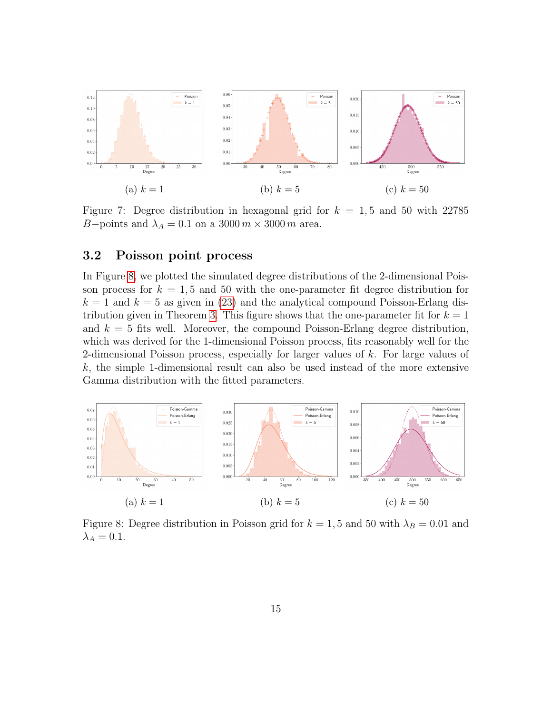<span id="page-14-0"></span>

Figure 7: Degree distribution in hexagonal grid for  $k = 1, 5$  and 50 with 22785 B–points and  $\lambda_A = 0.1$  on a 3000 m  $\times$  3000 m area.

### 3.2 Poisson point process

In Figure [8,](#page-14-1) we plotted the simulated degree distributions of the 2-dimensional Poisson process for  $k = 1, 5$  and 50 with the one-parameter fit degree distribution for  $k = 1$  and  $k = 5$  as given in [\(23\)](#page-13-1) and the analytical compound Poisson-Erlang dis-tribution given in Theorem [3.](#page-8-1) This figure shows that the one-parameter fit for  $k = 1$ and  $k = 5$  fits well. Moreover, the compound Poisson-Erlang degree distribution, which was derived for the 1-dimensional Poisson process, fits reasonably well for the 2-dimensional Poisson process, especially for larger values of k. For large values of  $k$ , the simple 1-dimensional result can also be used instead of the more extensive Gamma distribution with the fitted parameters.

<span id="page-14-1"></span>

Figure 8: Degree distribution in Poisson grid for  $k = 1, 5$  and 50 with  $\lambda_B = 0.01$  and  $\lambda_A = 0.1$ .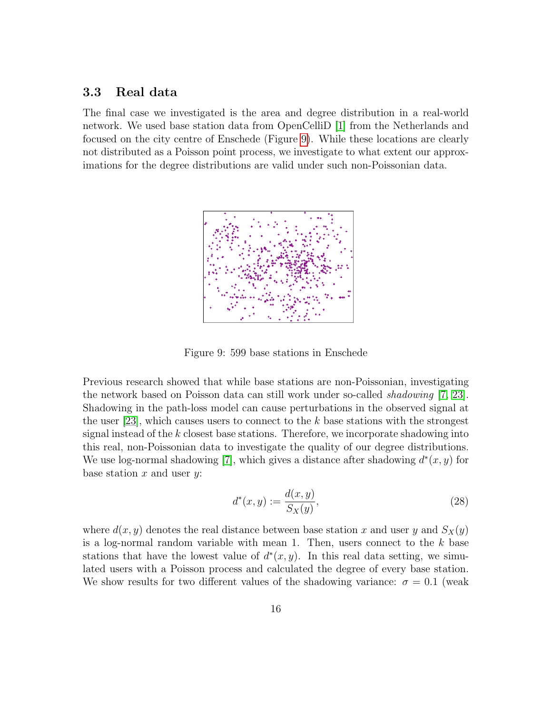### 3.3 Real data

<span id="page-15-0"></span>The final case we investigated is the area and degree distribution in a real-world network. We used base station data from OpenCelliD [\[1\]](#page-19-2) from the Netherlands and focused on the city centre of Enschede (Figure [9\)](#page-15-0). While these locations are clearly not distributed as a Poisson point process, we investigate to what extent our approximations for the degree distributions are valid under such non-Poissonian data.



Figure 9: 599 base stations in Enschede

Previous research showed that while base stations are non-Poissonian, investigating the network based on Poisson data can still work under so-called shadowing [\[7,](#page-20-10) [23\]](#page-21-10). Shadowing in the path-loss model can cause perturbations in the observed signal at the user  $[23]$ , which causes users to connect to the k base stations with the strongest signal instead of the  $k$  closest base stations. Therefore, we incorporate shadowing into this real, non-Poissonian data to investigate the quality of our degree distributions. We use log-normal shadowing [\[7\]](#page-20-10), which gives a distance after shadowing  $d^*(x, y)$  for base station  $x$  and user  $y$ :

$$
d^*(x, y) := \frac{d(x, y)}{S_X(y)},
$$
\n(28)

where  $d(x, y)$  denotes the real distance between base station x and user y and  $S_X(y)$ is a log-normal random variable with mean 1. Then, users connect to the  $k$  base stations that have the lowest value of  $d^*(x, y)$ . In this real data setting, we simulated users with a Poisson process and calculated the degree of every base station. We show results for two different values of the shadowing variance:  $\sigma = 0.1$  (weak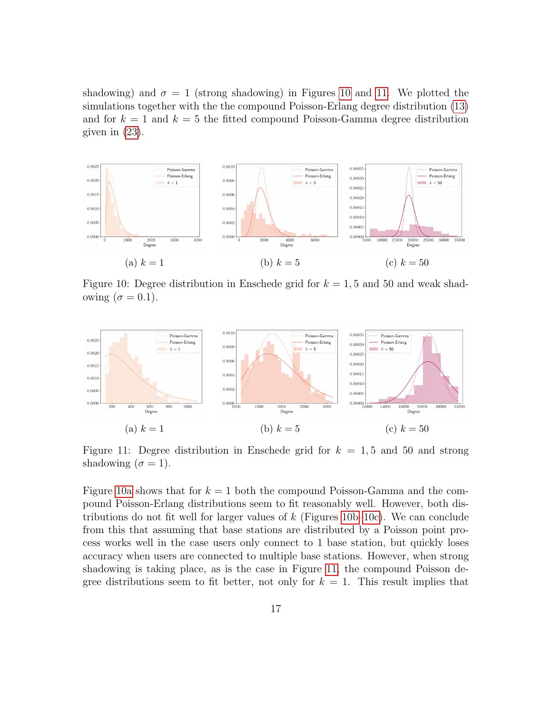shadowing) and  $\sigma = 1$  (strong shadowing) in Figures [10](#page-16-0) and [11.](#page-16-1) We plotted the simulations together with the the compound Poisson-Erlang degree distribution [\(13\)](#page-10-0) and for  $k = 1$  and  $k = 5$  the fitted compound Poisson-Gamma degree distribution given in [\(23\)](#page-13-1).

<span id="page-16-0"></span>

Figure 10: Degree distribution in Enschede grid for  $k = 1, 5$  and 50 and weak shadowing  $(\sigma = 0.1)$ .

<span id="page-16-1"></span>

Figure 11: Degree distribution in Enschede grid for  $k = 1, 5$  and 50 and strong shadowing  $(\sigma = 1)$ .

Figure [10a](#page-16-0) shows that for  $k = 1$  both the compound Poisson-Gamma and the compound Poisson-Erlang distributions seem to fit reasonably well. However, both distributions do not fit well for larger values of  $k$  (Figures [10b–10c\)](#page-16-0). We can conclude from this that assuming that base stations are distributed by a Poisson point process works well in the case users only connect to 1 base station, but quickly loses accuracy when users are connected to multiple base stations. However, when strong shadowing is taking place, as is the case in Figure [11,](#page-16-1) the compound Poisson degree distributions seem to fit better, not only for  $k = 1$ . This result implies that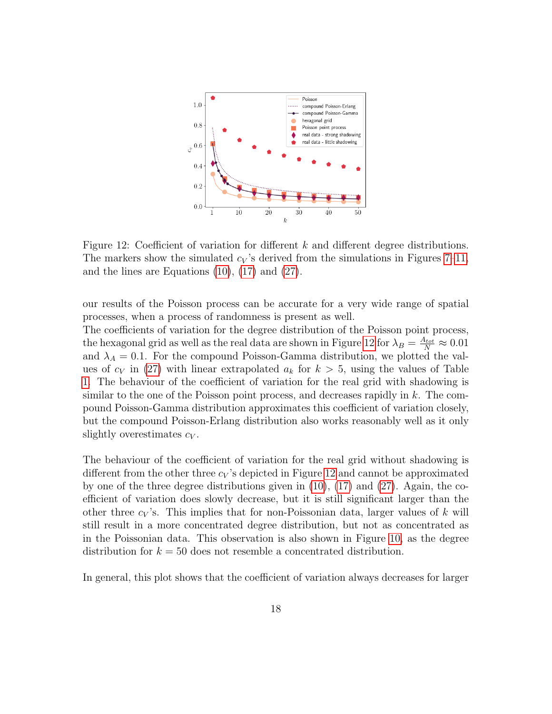<span id="page-17-0"></span>

Figure 12: Coefficient of variation for different  $k$  and different degree distributions. The markers show the simulated  $c_V$ 's derived from the simulations in Figures [7](#page-14-0)[–11,](#page-16-1) and the lines are Equations [\(10\)](#page-8-2), [\(17\)](#page-10-1) and [\(27\)](#page-13-2).

our results of the Poisson process can be accurate for a very wide range of spatial processes, when a process of randomness is present as well.

The coefficients of variation for the degree distribution of the Poisson point process, the hexagonal grid as well as the real data are shown in Figure [12](#page-17-0) for  $\lambda_B = \frac{A_{tot}}{N} \approx 0.01$ and  $\lambda_A = 0.1$ . For the compound Poisson-Gamma distribution, we plotted the values of  $c_V$  in [\(27\)](#page-13-2) with linear extrapolated  $a_k$  for  $k > 5$ , using the values of Table [1.](#page-12-0) The behaviour of the coefficient of variation for the real grid with shadowing is similar to the one of the Poisson point process, and decreases rapidly in k. The compound Poisson-Gamma distribution approximates this coefficient of variation closely, but the compound Poisson-Erlang distribution also works reasonably well as it only slightly overestimates  $c_V$ .

The behaviour of the coefficient of variation for the real grid without shadowing is different from the other three  $c_V$ 's depicted in Figure [12](#page-17-0) and cannot be approximated by one of the three degree distributions given in [\(10\)](#page-8-2), [\(17\)](#page-10-1) and [\(27\)](#page-13-2). Again, the coefficient of variation does slowly decrease, but it is still significant larger than the other three  $c_V$ 's. This implies that for non-Poissonian data, larger values of k will still result in a more concentrated degree distribution, but not as concentrated as in the Poissonian data. This observation is also shown in Figure [10,](#page-16-0) as the degree distribution for  $k = 50$  does not resemble a concentrated distribution.

In general, this plot shows that the coefficient of variation always decreases for larger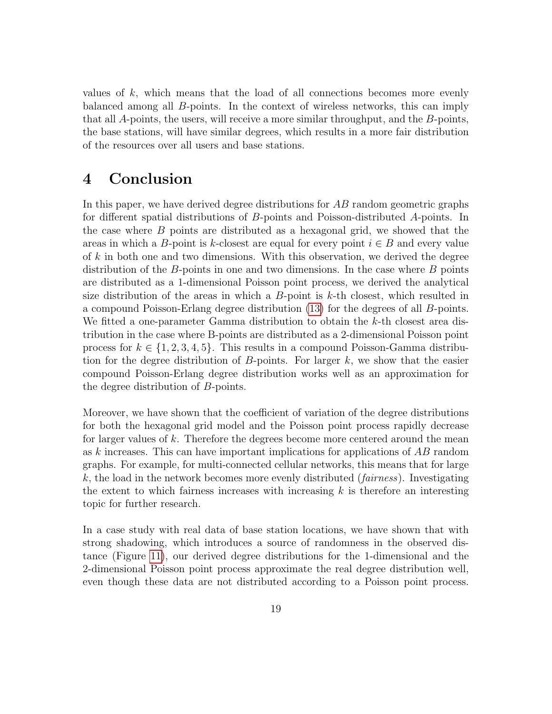values of  $k$ , which means that the load of all connections becomes more evenly balanced among all B-points. In the context of wireless networks, this can imply that all A-points, the users, will receive a more similar throughput, and the B-points, the base stations, will have similar degrees, which results in a more fair distribution of the resources over all users and base stations.

# 4 Conclusion

In this paper, we have derived degree distributions for AB random geometric graphs for different spatial distributions of B-points and Poisson-distributed A-points. In the case where B points are distributed as a hexagonal grid, we showed that the areas in which a B-point is k-closest are equal for every point  $i \in B$  and every value of k in both one and two dimensions. With this observation, we derived the degree distribution of the  $B$ -points in one and two dimensions. In the case where  $B$  points are distributed as a 1-dimensional Poisson point process, we derived the analytical size distribution of the areas in which a  $B$ -point is  $k$ -th closest, which resulted in a compound Poisson-Erlang degree distribution [\(13\)](#page-10-0) for the degrees of all B-points. We fitted a one-parameter Gamma distribution to obtain the k-th closest area distribution in the case where B-points are distributed as a 2-dimensional Poisson point process for  $k \in \{1, 2, 3, 4, 5\}$ . This results in a compound Poisson-Gamma distribution for the degree distribution of  $B$ -points. For larger  $k$ , we show that the easier compound Poisson-Erlang degree distribution works well as an approximation for the degree distribution of B-points.

Moreover, we have shown that the coefficient of variation of the degree distributions for both the hexagonal grid model and the Poisson point process rapidly decrease for larger values of k. Therefore the degrees become more centered around the mean as k increases. This can have important implications for applications of AB random graphs. For example, for multi-connected cellular networks, this means that for large  $k$ , the load in the network becomes more evenly distributed (*fairness*). Investigating the extent to which fairness increases with increasing  $k$  is therefore an interesting topic for further research.

In a case study with real data of base station locations, we have shown that with strong shadowing, which introduces a source of randomness in the observed distance (Figure [11\)](#page-16-1), our derived degree distributions for the 1-dimensional and the 2-dimensional Poisson point process approximate the real degree distribution well, even though these data are not distributed according to a Poisson point process.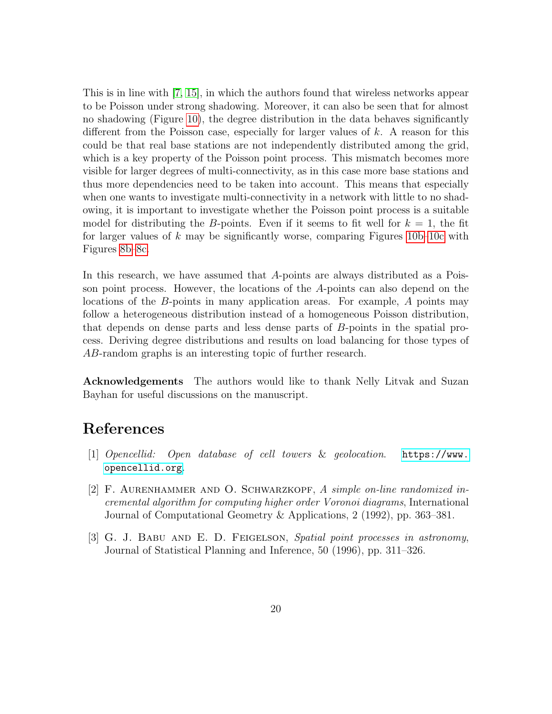This is in line with [\[7,](#page-20-10) [15\]](#page-21-11), in which the authors found that wireless networks appear to be Poisson under strong shadowing. Moreover, it can also be seen that for almost no shadowing (Figure [10\)](#page-16-0), the degree distribution in the data behaves significantly different from the Poisson case, especially for larger values of k. A reason for this could be that real base stations are not independently distributed among the grid, which is a key property of the Poisson point process. This mismatch becomes more visible for larger degrees of multi-connectivity, as in this case more base stations and thus more dependencies need to be taken into account. This means that especially when one wants to investigate multi-connectivity in a network with little to no shadowing, it is important to investigate whether the Poisson point process is a suitable model for distributing the B-points. Even if it seems to fit well for  $k = 1$ , the fit for larger values of k may be significantly worse, comparing Figures  $10b-10c$  with Figures [8b–8c.](#page-14-1)

In this research, we have assumed that A-points are always distributed as a Poisson point process. However, the locations of the A-points can also depend on the locations of the B-points in many application areas. For example, A points may follow a heterogeneous distribution instead of a homogeneous Poisson distribution, that depends on dense parts and less dense parts of B-points in the spatial process. Deriving degree distributions and results on load balancing for those types of AB-random graphs is an interesting topic of further research.

Acknowledgements The authors would like to thank Nelly Litvak and Suzan Bayhan for useful discussions on the manuscript.

# References

- <span id="page-19-2"></span>[1] Opencellid: Open database of cell towers & geolocation. [https://www.](https://www.opencellid.org) [opencellid.org](https://www.opencellid.org).
- <span id="page-19-1"></span>[2] F. AURENHAMMER AND O. SCHWARZKOPF, A simple on-line randomized incremental algorithm for computing higher order Voronoi diagrams, International Journal of Computational Geometry & Applications, 2 (1992), pp. 363–381.
- <span id="page-19-0"></span>[3] G. J. Babu and E. D. Feigelson, Spatial point processes in astronomy, Journal of Statistical Planning and Inference, 50 (1996), pp. 311–326.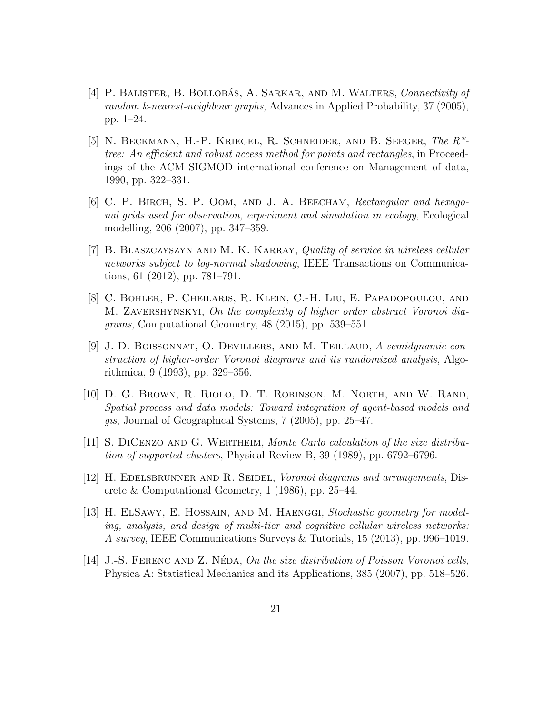- <span id="page-20-1"></span>[4] P. BALISTER, B. BOLLOBÁS, A. SARKAR, AND M. WALTERS, Connectivity of random k-nearest-neighbour graphs, Advances in Applied Probability, 37 (2005), pp. 1–24.
- <span id="page-20-9"></span>[5] N. Beckmann, H.-P. Kriegel, R. Schneider, and B. Seeger, The R\* tree: An efficient and robust access method for points and rectangles, in Proceedings of the ACM SIGMOD international conference on Management of data, 1990, pp. 322–331.
- <span id="page-20-2"></span>[6] C. P. Birch, S. P. Oom, and J. A. Beecham, Rectangular and hexagonal grids used for observation, experiment and simulation in ecology, Ecological modelling, 206 (2007), pp. 347–359.
- <span id="page-20-10"></span>[7] B. BLASZCZYSZYN AND M. K. KARRAY, Quality of service in wireless cellular networks subject to log-normal shadowing, IEEE Transactions on Communications, 61 (2012), pp. 781–791.
- <span id="page-20-7"></span>[8] C. Bohler, P. Cheilaris, R. Klein, C.-H. Liu, E. Papadopoulou, and M. ZAVERSHYNSKYI, On the complexity of higher order abstract Voronoi diagrams, Computational Geometry, 48 (2015), pp. 539–551.
- <span id="page-20-6"></span>[9] J. D. BOISSONNAT, O. DEVILLERS, AND M. TEILLAUD, A semidynamic construction of higher-order Voronoi diagrams and its randomized analysis, Algorithmica, 9 (1993), pp. 329–356.
- <span id="page-20-3"></span>[10] D. G. Brown, R. Riolo, D. T. Robinson, M. North, and W. Rand, Spatial process and data models: Toward integration of agent-based models and gis, Journal of Geographical Systems, 7 (2005), pp. 25–47.
- <span id="page-20-8"></span>[11] S. DICENZO AND G. WERTHEIM, Monte Carlo calculation of the size distribution of supported clusters, Physical Review B, 39 (1989), pp. 6792–6796.
- <span id="page-20-5"></span>[12] H. EDELSBRUNNER AND R. SEIDEL, *Voronoi diagrams and arrangements*, Discrete & Computational Geometry, 1 (1986), pp. 25–44.
- <span id="page-20-0"></span>[13] H. ELSAWY, E. HOSSAIN, AND M. HAENGGI, Stochastic geometry for modeling, analysis, and design of multi-tier and cognitive cellular wireless networks: A survey, IEEE Communications Surveys & Tutorials, 15 (2013), pp. 996–1019.
- <span id="page-20-4"></span>[14] J.-S. FERENC AND Z. NÉDA, On the size distribution of Poisson Voronoi cells, Physica A: Statistical Mechanics and its Applications, 385 (2007), pp. 518–526.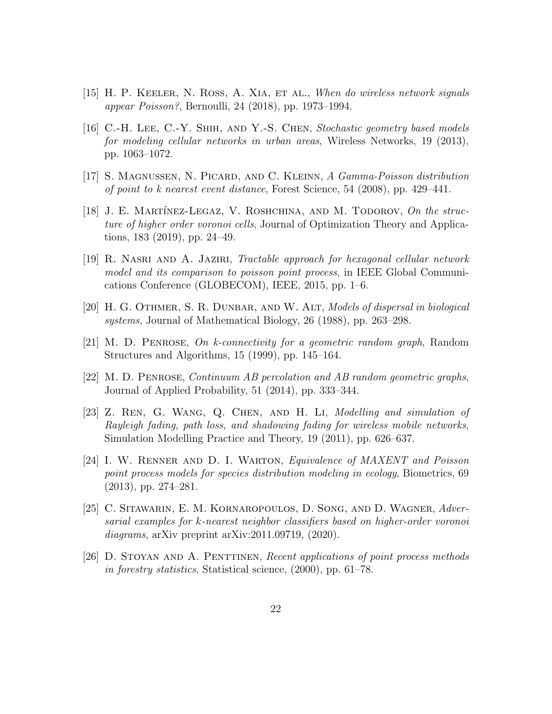- <span id="page-21-11"></span>[15] H. P. KEELER, N. ROSS, A. XIA, ET AL., When do wireless network signals appear Poisson?, Bernoulli, 24 (2018), pp. 1973–1994.
- <span id="page-21-7"></span>[16] C.-H. Lee, C.-Y. Shih, and Y.-S. Chen, Stochastic geometry based models for modeling cellular networks in urban areas, Wireless Networks, 19 (2013), pp. 1063–1072.
- <span id="page-21-4"></span>[17] S. Magnussen, N. Picard, and C. Kleinn, A Gamma-Poisson distribution of point to k nearest event distance, Forest Science, 54 (2008), pp. 429–441.
- <span id="page-21-8"></span>[18] J. E. MARTÍNEZ-LEGAZ, V. ROSHCHINA, AND M. TODOROV, On the structure of higher order voronoi cells, Journal of Optimization Theory and Applications, 183 (2019), pp. 24–49.
- <span id="page-21-6"></span>[19] R. Nasri and A. Jaziri, Tractable approach for hexagonal cellular network model and its comparison to poisson point process, in IEEE Global Communications Conference (GLOBECOM), IEEE, 2015, pp. 1–6.
- <span id="page-21-0"></span>[20] H. G. OTHMER, S. R. DUNBAR, AND W. ALT, Models of dispersal in biological systems, Journal of Mathematical Biology, 26 (1988), pp. 263–298.
- <span id="page-21-2"></span>[21] M. D. Penrose, On k-connectivity for a geometric random graph, Random Structures and Algorithms, 15 (1999), pp. 145–164.
- <span id="page-21-9"></span>[22] M. D. Penrose, Continuum AB percolation and AB random geometric graphs, Journal of Applied Probability, 51 (2014), pp. 333–344.
- <span id="page-21-10"></span>[23] Z. Ren, G. Wang, Q. Chen, and H. Li, Modelling and simulation of Rayleigh fading, path loss, and shadowing fading for wireless mobile networks, Simulation Modelling Practice and Theory, 19 (2011), pp. 626–637.
- <span id="page-21-1"></span>[24] I. W. RENNER AND D. I. WARTON, Equivalence of MAXENT and Poisson point process models for species distribution modeling in ecology, Biometrics, 69 (2013), pp. 274–281.
- <span id="page-21-3"></span>[25] C. Sitawarin, E. M. Kornaropoulos, D. Song, and D. Wagner, Adversarial examples for k-nearest neighbor classifiers based on higher-order voronoi diagrams, arXiv preprint arXiv:2011.09719, (2020).
- <span id="page-21-5"></span>[26] D. Stoyan and A. Penttinen, Recent applications of point process methods in forestry statistics, Statistical science, (2000), pp. 61–78.